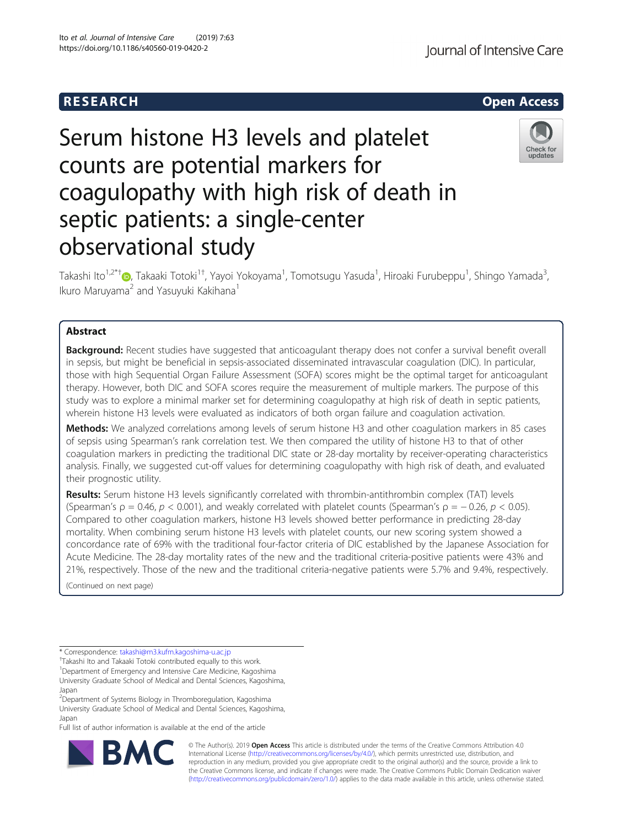## R E S EAR CH Open Access

Journal of Intensive Care

# Serum histone H3 levels and platelet counts are potential markers for coagulopathy with high risk of death in septic patients: a single-center observational study



Takashi Ito<sup>1,2\*[†](http://orcid.org/0000-0002-6204-8400)</sup>®, Takaaki Totoki<sup>1†</sup>, Yayoi Yokoyama<sup>1</sup>, Tomotsugu Yasuda<sup>1</sup>, Hiroaki Furubeppu<sup>1</sup>, Shingo Yamada<sup>3</sup> , Ikuro Maruyama<sup>2</sup> and Yasuyuki Kakihana<sup>1</sup>

## Abstract

**Background:** Recent studies have suggested that anticoagulant therapy does not confer a survival benefit overall in sepsis, but might be beneficial in sepsis-associated disseminated intravascular coagulation (DIC). In particular, those with high Sequential Organ Failure Assessment (SOFA) scores might be the optimal target for anticoagulant therapy. However, both DIC and SOFA scores require the measurement of multiple markers. The purpose of this study was to explore a minimal marker set for determining coagulopathy at high risk of death in septic patients, wherein histone H3 levels were evaluated as indicators of both organ failure and coagulation activation.

Methods: We analyzed correlations among levels of serum histone H3 and other coagulation markers in 85 cases of sepsis using Spearman's rank correlation test. We then compared the utility of histone H3 to that of other coagulation markers in predicting the traditional DIC state or 28-day mortality by receiver-operating characteristics analysis. Finally, we suggested cut-off values for determining coagulopathy with high risk of death, and evaluated their prognostic utility.

Results: Serum histone H3 levels significantly correlated with thrombin-antithrombin complex (TAT) levels (Spearman's  $\rho = 0.46$ ,  $p < 0.001$ ), and weakly correlated with platelet counts (Spearman's  $\rho = -0.26$ ,  $p < 0.05$ ). Compared to other coagulation markers, histone H3 levels showed better performance in predicting 28-day mortality. When combining serum histone H3 levels with platelet counts, our new scoring system showed a concordance rate of 69% with the traditional four-factor criteria of DIC established by the Japanese Association for Acute Medicine. The 28-day mortality rates of the new and the traditional criteria-positive patients were 43% and 21%, respectively. Those of the new and the traditional criteria-negative patients were 5.7% and 9.4%, respectively.

(Continued on next page)

<sup>+</sup>Takashi Ito and Takaaki Totoki contributed equally to this work.

<sup>1</sup>Department of Emergency and Intensive Care Medicine, Kagoshima University Graduate School of Medical and Dental Sciences, Kagoshima, Japan

<sup>2</sup>Department of Systems Biology in Thromboregulation, Kagoshima University Graduate School of Medical and Dental Sciences, Kagoshima, Japan

Full list of author information is available at the end of the article



© The Author(s). 2019 **Open Access** This article is distributed under the terms of the Creative Commons Attribution 4.0 International License [\(http://creativecommons.org/licenses/by/4.0/](http://creativecommons.org/licenses/by/4.0/)), which permits unrestricted use, distribution, and reproduction in any medium, provided you give appropriate credit to the original author(s) and the source, provide a link to the Creative Commons license, and indicate if changes were made. The Creative Commons Public Domain Dedication waiver [\(http://creativecommons.org/publicdomain/zero/1.0/](http://creativecommons.org/publicdomain/zero/1.0/)) applies to the data made available in this article, unless otherwise stated.

<sup>\*</sup> Correspondence: [takashi@m3.kufm.kagoshima-u.ac.jp](mailto:takashi@m3.kufm.kagoshima-u.ac.jp) †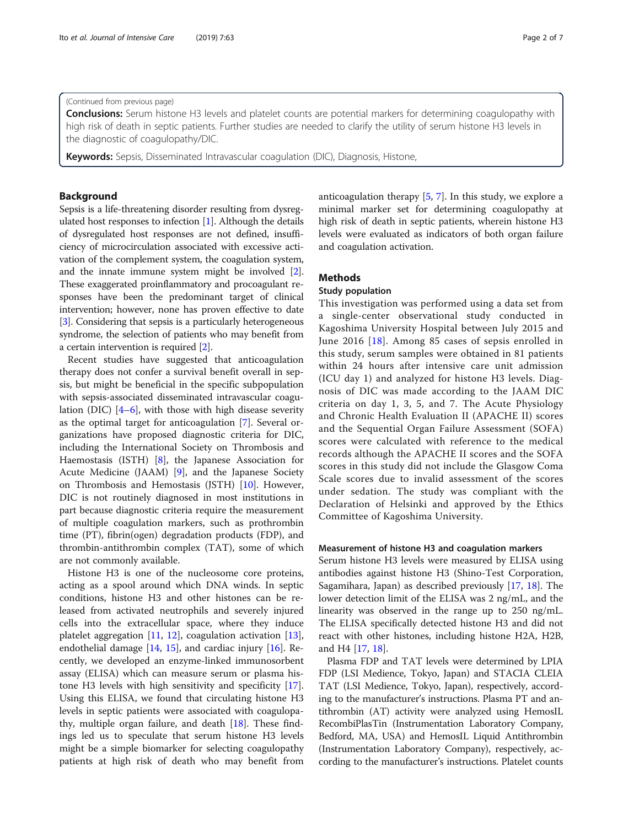#### (Continued from previous page)

**Conclusions:** Serum histone H3 levels and platelet counts are potential markers for determining coagulopathy with high risk of death in septic patients. Further studies are needed to clarify the utility of serum histone H3 levels in the diagnostic of coagulopathy/DIC.

**Keywords:** Sepsis, Disseminated Intravascular coagulation (DIC), Diagnosis, Histone,

## Background

Sepsis is a life-threatening disorder resulting from dysregulated host responses to infection [[1](#page-5-0)]. Although the details of dysregulated host responses are not defined, insufficiency of microcirculation associated with excessive activation of the complement system, the coagulation system, and the innate immune system might be involved [[2](#page-5-0)]. These exaggerated proinflammatory and procoagulant responses have been the predominant target of clinical intervention; however, none has proven effective to date [[3\]](#page-5-0). Considering that sepsis is a particularly heterogeneous syndrome, the selection of patients who may benefit from a certain intervention is required [\[2](#page-5-0)].

Recent studies have suggested that anticoagulation therapy does not confer a survival benefit overall in sepsis, but might be beneficial in the specific subpopulation with sepsis-associated disseminated intravascular coagulation (DIC)  $[4-6]$  $[4-6]$  $[4-6]$  $[4-6]$ , with those with high disease severity as the optimal target for anticoagulation [[7\]](#page-5-0). Several organizations have proposed diagnostic criteria for DIC, including the International Society on Thrombosis and Haemostasis (ISTH) [[8\]](#page-5-0), the Japanese Association for Acute Medicine (JAAM) [[9\]](#page-5-0), and the Japanese Society on Thrombosis and Hemostasis (JSTH) [\[10](#page-5-0)]. However, DIC is not routinely diagnosed in most institutions in part because diagnostic criteria require the measurement of multiple coagulation markers, such as prothrombin time (PT), fibrin(ogen) degradation products (FDP), and thrombin-antithrombin complex (TAT), some of which are not commonly available.

Histone H3 is one of the nucleosome core proteins, acting as a spool around which DNA winds. In septic conditions, histone H3 and other histones can be released from activated neutrophils and severely injured cells into the extracellular space, where they induce platelet aggregation  $[11, 12]$  $[11, 12]$  $[11, 12]$  $[11, 12]$ , coagulation activation  $[13]$  $[13]$ , endothelial damage [[14,](#page-6-0) [15](#page-6-0)], and cardiac injury [[16\]](#page-6-0). Recently, we developed an enzyme-linked immunosorbent assay (ELISA) which can measure serum or plasma histone H3 levels with high sensitivity and specificity [\[17](#page-6-0)]. Using this ELISA, we found that circulating histone H3 levels in septic patients were associated with coagulopathy, multiple organ failure, and death [[18\]](#page-6-0). These findings led us to speculate that serum histone H3 levels might be a simple biomarker for selecting coagulopathy patients at high risk of death who may benefit from anticoagulation therapy [\[5,](#page-5-0) [7](#page-5-0)]. In this study, we explore a minimal marker set for determining coagulopathy at high risk of death in septic patients, wherein histone H3 levels were evaluated as indicators of both organ failure and coagulation activation.

## **Methods**

## Study population

This investigation was performed using a data set from a single-center observational study conducted in Kagoshima University Hospital between July 2015 and June 2016 [\[18\]](#page-6-0). Among 85 cases of sepsis enrolled in this study, serum samples were obtained in 81 patients within 24 hours after intensive care unit admission (ICU day 1) and analyzed for histone H3 levels. Diagnosis of DIC was made according to the JAAM DIC criteria on day 1, 3, 5, and 7. The Acute Physiology and Chronic Health Evaluation II (APACHE II) scores and the Sequential Organ Failure Assessment (SOFA) scores were calculated with reference to the medical records although the APACHE II scores and the SOFA scores in this study did not include the Glasgow Coma Scale scores due to invalid assessment of the scores under sedation. The study was compliant with the Declaration of Helsinki and approved by the Ethics Committee of Kagoshima University.

#### Measurement of histone H3 and coagulation markers

Serum histone H3 levels were measured by ELISA using antibodies against histone H3 (Shino-Test Corporation, Sagamihara, Japan) as described previously [\[17](#page-6-0), [18\]](#page-6-0). The lower detection limit of the ELISA was 2 ng/mL, and the linearity was observed in the range up to 250 ng/mL. The ELISA specifically detected histone H3 and did not react with other histones, including histone H2A, H2B, and H4 [\[17](#page-6-0), [18](#page-6-0)].

Plasma FDP and TAT levels were determined by LPIA FDP (LSI Medience, Tokyo, Japan) and STACIA CLEIA TAT (LSI Medience, Tokyo, Japan), respectively, according to the manufacturer's instructions. Plasma PT and antithrombin (AT) activity were analyzed using HemosIL RecombiPlasTin (Instrumentation Laboratory Company, Bedford, MA, USA) and HemosIL Liquid Antithrombin (Instrumentation Laboratory Company), respectively, according to the manufacturer's instructions. Platelet counts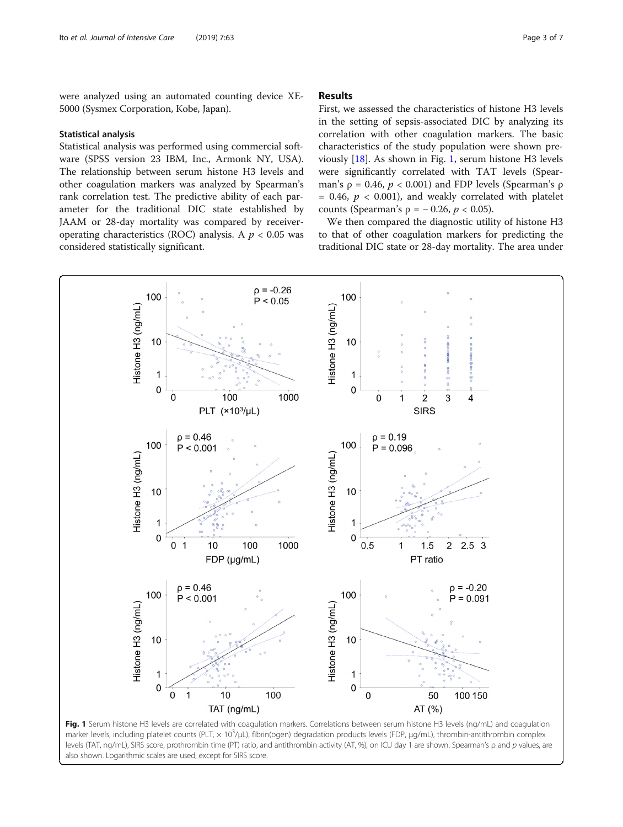<span id="page-2-0"></span>were analyzed using an automated counting device XE-5000 (Sysmex Corporation, Kobe, Japan).

#### Statistical analysis

Statistical analysis was performed using commercial software (SPSS version 23 IBM, Inc., Armonk NY, USA). The relationship between serum histone H3 levels and other coagulation markers was analyzed by Spearman's rank correlation test. The predictive ability of each parameter for the traditional DIC state established by JAAM or 28-day mortality was compared by receiveroperating characteristics (ROC) analysis. A  $p < 0.05$  was considered statistically significant.

## Results

First, we assessed the characteristics of histone H3 levels in the setting of sepsis-associated DIC by analyzing its correlation with other coagulation markers. The basic characteristics of the study population were shown previously [\[18](#page-6-0)]. As shown in Fig. 1, serum histone H3 levels were significantly correlated with TAT levels (Spearman's  $\rho = 0.46$ ,  $p < 0.001$ ) and FDP levels (Spearman's  $\rho$  $= 0.46, p < 0.001$ , and weakly correlated with platelet counts (Spearman's  $ρ = -0.26, p < 0.05$ ).

We then compared the diagnostic utility of histone H3 to that of other coagulation markers for predicting the traditional DIC state or 28-day mortality. The area under



marker levels, including platelet counts (PLT, x 10<sup>3</sup>/μL), fibrin(ogen) degradation products levels (FDP, μg/mL), thrombin-antithrombin complex levels (TAT, ng/mL), SIRS score, prothrombin time (PT) ratio, and antithrombin activity (AT, %), on ICU day 1 are shown. Spearman's ρ and p values, are also shown. Logarithmic scales are used, except for SIRS score.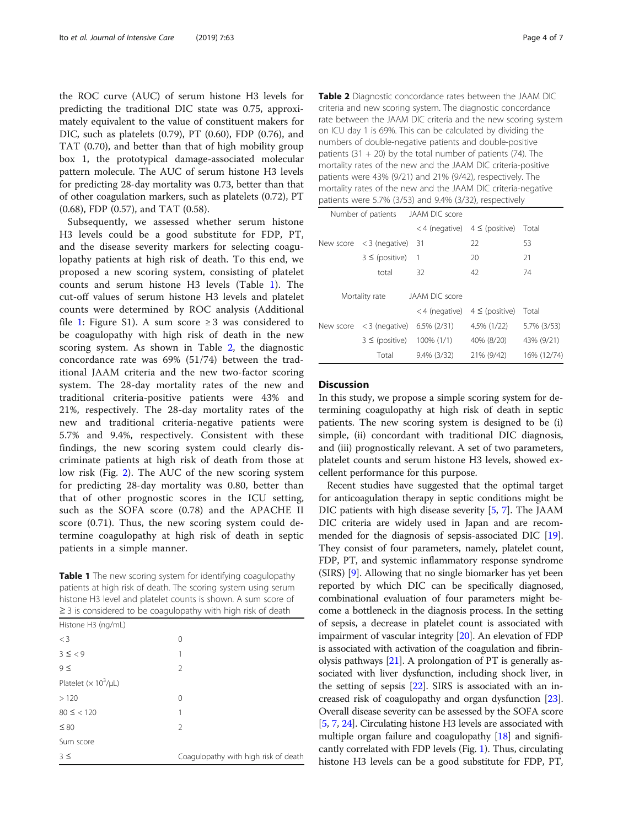the ROC curve (AUC) of serum histone H3 levels for predicting the traditional DIC state was 0.75, approximately equivalent to the value of constituent makers for DIC, such as platelets (0.79), PT (0.60), FDP (0.76), and TAT (0.70), and better than that of high mobility group box 1, the prototypical damage-associated molecular pattern molecule. The AUC of serum histone H3 levels for predicting 28-day mortality was 0.73, better than that of other coagulation markers, such as platelets (0.72), PT (0.68), FDP (0.57), and TAT (0.58).

Subsequently, we assessed whether serum histone H3 levels could be a good substitute for FDP, PT, and the disease severity markers for selecting coagulopathy patients at high risk of death. To this end, we proposed a new scoring system, consisting of platelet counts and serum histone H3 levels (Table 1). The cut-off values of serum histone H3 levels and platelet counts were determined by ROC analysis (Additional file [1:](#page-5-0) Figure S1). A sum score  $\geq 3$  was considered to be coagulopathy with high risk of death in the new scoring system. As shown in Table 2, the diagnostic concordance rate was 69% (51/74) between the traditional JAAM criteria and the new two-factor scoring system. The 28-day mortality rates of the new and traditional criteria-positive patients were 43% and 21%, respectively. The 28-day mortality rates of the new and traditional criteria-negative patients were 5.7% and 9.4%, respectively. Consistent with these findings, the new scoring system could clearly discriminate patients at high risk of death from those at low risk (Fig. [2](#page-4-0)). The AUC of the new scoring system for predicting 28-day mortality was 0.80, better than that of other prognostic scores in the ICU setting, such as the SOFA score (0.78) and the APACHE II score (0.71). Thus, the new scoring system could determine coagulopathy at high risk of death in septic patients in a simple manner.

Table 1 The new scoring system for identifying coagulopathy patients at high risk of death. The scoring system using serum histone H3 level and platelet counts is shown. A sum score of ≥ 3 is considered to be coagulopathy with high risk of death

| Histone H3 (ng/mL)        |                                      |  |  |
|---------------------------|--------------------------------------|--|--|
| $<$ 3                     | 0                                    |  |  |
| $3 \leq 9$                | 1                                    |  |  |
| $9 \le$                   | $\mathfrak{D}$                       |  |  |
| Platelet $(x 10^3/\mu L)$ |                                      |  |  |
| >120                      | $\Omega$                             |  |  |
| $80 \leq \; < 120$        | 1                                    |  |  |
| $\leq 80$                 | $\mathfrak{D}$                       |  |  |
| Sum score                 |                                      |  |  |
| $3 \leq$                  | Coagulopathy with high risk of death |  |  |

Table 2 Diagnostic concordance rates between the JAAM DIC criteria and new scoring system. The diagnostic concordance rate between the JAAM DIC criteria and the new scoring system on ICU day 1 is 69%. This can be calculated by dividing the numbers of double-negative patients and double-positive patients  $(31 + 20)$  by the total number of patients  $(74)$ . The mortality rates of the new and the JAAM DIC criteria-positive patients were 43% (9/21) and 21% (9/42), respectively. The mortality rates of the new and the JAAM DIC criteria-negative patients were 5.7% (3/53) and 9.4% (3/32), respectively

|                | Number of patients JAAM DIC score           |                                   |                                     |             |
|----------------|---------------------------------------------|-----------------------------------|-------------------------------------|-------------|
|                |                                             |                                   | $<$ 4 (negative) 4 $\le$ (positive) | Total       |
|                | New score $\langle 3 \rangle$ (negative) 31 |                                   | 22                                  | 53          |
|                | $3 \leq$ (positive)                         | -1                                | 20                                  | 21          |
|                | total                                       | 32                                | 42                                  | 74          |
|                |                                             |                                   |                                     |             |
| Mortality rate |                                             | JAAM DIC score                    |                                     |             |
|                |                                             | <4 (negative) $4 \leq$ (positive) |                                     | Total       |
|                | New score $\langle 3 \rangle$ (negative)    | $6.5\%$ (2/31)                    | 4.5% (1/22)                         | 5.7% (3/53) |
|                | $3 \leq$ (positive) 100% (1/1)              |                                   | 40% (8/20)                          | 43% (9/21)  |
|                | Total                                       | $9.4\%$ (3/32)                    | 21% (9/42)                          | 16% (12/74) |

#### **Discussion**

In this study, we propose a simple scoring system for determining coagulopathy at high risk of death in septic patients. The new scoring system is designed to be (i) simple, (ii) concordant with traditional DIC diagnosis, and (iii) prognostically relevant. A set of two parameters, platelet counts and serum histone H3 levels, showed excellent performance for this purpose.

Recent studies have suggested that the optimal target for anticoagulation therapy in septic conditions might be DIC patients with high disease severity [[5](#page-5-0), [7\]](#page-5-0). The JAAM DIC criteria are widely used in Japan and are recommended for the diagnosis of sepsis-associated DIC [[19](#page-6-0)]. They consist of four parameters, namely, platelet count, FDP, PT, and systemic inflammatory response syndrome (SIRS) [[9\]](#page-5-0). Allowing that no single biomarker has yet been reported by which DIC can be specifically diagnosed, combinational evaluation of four parameters might become a bottleneck in the diagnosis process. In the setting of sepsis, a decrease in platelet count is associated with impairment of vascular integrity [\[20\]](#page-6-0). An elevation of FDP is associated with activation of the coagulation and fibrinolysis pathways [\[21\]](#page-6-0). A prolongation of PT is generally associated with liver dysfunction, including shock liver, in the setting of sepsis [[22](#page-6-0)]. SIRS is associated with an increased risk of coagulopathy and organ dysfunction [[23](#page-6-0)]. Overall disease severity can be assessed by the SOFA score [[5,](#page-5-0) [7](#page-5-0), [24\]](#page-6-0). Circulating histone H3 levels are associated with multiple organ failure and coagulopathy [\[18\]](#page-6-0) and significantly correlated with FDP levels (Fig. [1](#page-2-0)). Thus, circulating histone H3 levels can be a good substitute for FDP, PT,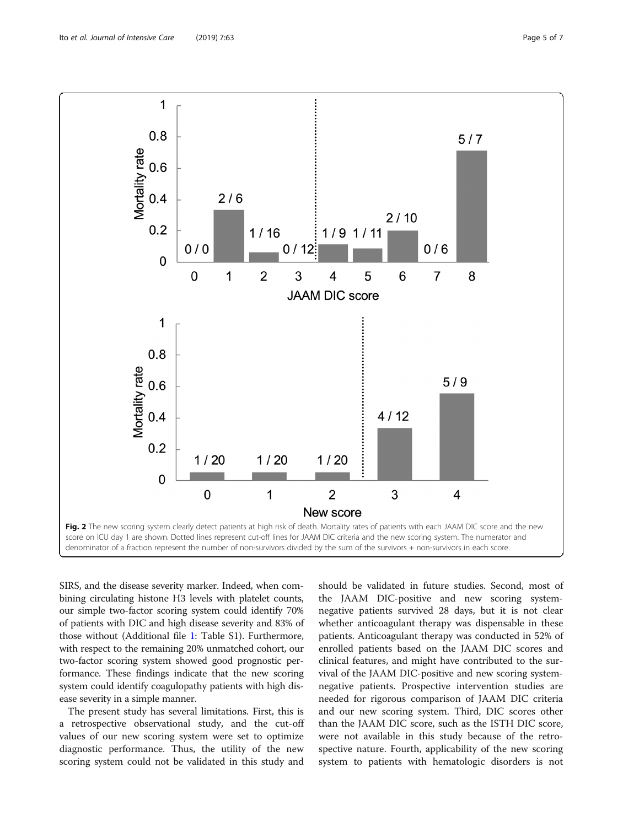SIRS, and the disease severity marker. Indeed, when combining circulating histone H3 levels with platelet counts, our simple two-factor scoring system could identify 70% of patients with DIC and high disease severity and 83% of those without (Additional file [1](#page-5-0): Table S1). Furthermore, with respect to the remaining 20% unmatched cohort, our two-factor scoring system showed good prognostic performance. These findings indicate that the new scoring system could identify coagulopathy patients with high disease severity in a simple manner.

The present study has several limitations. First, this is a retrospective observational study, and the cut-off values of our new scoring system were set to optimize diagnostic performance. Thus, the utility of the new scoring system could not be validated in this study and should be validated in future studies. Second, most of the JAAM DIC-positive and new scoring systemnegative patients survived 28 days, but it is not clear whether anticoagulant therapy was dispensable in these patients. Anticoagulant therapy was conducted in 52% of enrolled patients based on the JAAM DIC scores and clinical features, and might have contributed to the survival of the JAAM DIC-positive and new scoring systemnegative patients. Prospective intervention studies are needed for rigorous comparison of JAAM DIC criteria and our new scoring system. Third, DIC scores other than the JAAM DIC score, such as the ISTH DIC score, were not available in this study because of the retrospective nature. Fourth, applicability of the new scoring system to patients with hematologic disorders is not

<span id="page-4-0"></span>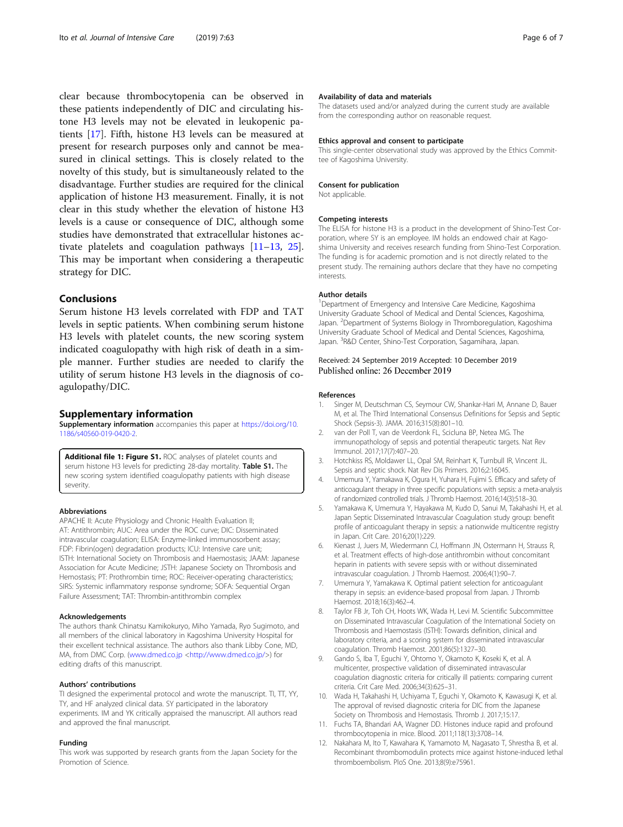<span id="page-5-0"></span>clear because thrombocytopenia can be observed in these patients independently of DIC and circulating histone H3 levels may not be elevated in leukopenic patients [\[17](#page-6-0)]. Fifth, histone H3 levels can be measured at present for research purposes only and cannot be measured in clinical settings. This is closely related to the novelty of this study, but is simultaneously related to the disadvantage. Further studies are required for the clinical application of histone H3 measurement. Finally, it is not clear in this study whether the elevation of histone H3 levels is a cause or consequence of DIC, although some studies have demonstrated that extracellular histones activate platelets and coagulation pathways [11–[13,](#page-6-0) [25](#page-6-0)]. This may be important when considering a therapeutic strategy for DIC.

## Conclusions

Serum histone H3 levels correlated with FDP and TAT levels in septic patients. When combining serum histone H3 levels with platelet counts, the new scoring system indicated coagulopathy with high risk of death in a simple manner. Further studies are needed to clarify the utility of serum histone H3 levels in the diagnosis of coagulopathy/DIC.

#### Supplementary information

Supplementary information accompanies this paper at [https://doi.org/10.](https://doi.org/10.1186/s40560-019-0420-2) [1186/s40560-019-0420-2.](https://doi.org/10.1186/s40560-019-0420-2)

Additional file 1: Figure S1. ROC analyses of platelet counts and serum histone H3 levels for predicting 28-day mortality. Table S1. The new scoring system identified coagulopathy patients with high disease severity.

#### Abbreviations

APACHE II: Acute Physiology and Chronic Health Evaluation II; AT: Antithrombin; AUC: Area under the ROC curve; DIC: Disseminated intravascular coagulation; ELISA: Enzyme-linked immunosorbent assay; FDP: Fibrin(ogen) degradation products; ICU: Intensive care unit; ISTH: International Society on Thrombosis and Haemostasis; JAAM: Japanese Association for Acute Medicine; JSTH: Japanese Society on Thrombosis and Hemostasis; PT: Prothrombin time; ROC: Receiver-operating characteristics; SIRS: Systemic inflammatory response syndrome; SOFA: Sequential Organ Failure Assessment; TAT: Thrombin-antithrombin complex

#### Acknowledgements

The authors thank Chinatsu Kamikokuryo, Miho Yamada, Ryo Sugimoto, and all members of the clinical laboratory in Kagoshima University Hospital for their excellent technical assistance. The authors also thank Libby Cone, MD, MA, from DMC Corp. ([www.dmed.co.jp](http://www.dmed.co.jp/) [<http://www.dmed.co.jp/>](http://www.dmed.co.jp/)) for editing drafts of this manuscript.

#### Authors' contributions

TI designed the experimental protocol and wrote the manuscript. TI, TT, YY, TY, and HF analyzed clinical data. SY participated in the laboratory experiments. IM and YK critically appraised the manuscript. All authors read and approved the final manuscript.

#### Funding

This work was supported by research grants from the Japan Society for the Promotion of Science.

#### Availability of data and materials

The datasets used and/or analyzed during the current study are available from the corresponding author on reasonable request.

#### Ethics approval and consent to participate

This single-center observational study was approved by the Ethics Committee of Kagoshima University.

#### Consent for publication

Not applicable.

#### Competing interests

The ELISA for histone H3 is a product in the development of Shino-Test Corporation, where SY is an employee. IM holds an endowed chair at Kagoshima University and receives research funding from Shino-Test Corporation. The funding is for academic promotion and is not directly related to the present study. The remaining authors declare that they have no competing interests.

#### Author details

<sup>1</sup>Department of Emergency and Intensive Care Medicine, Kagoshima University Graduate School of Medical and Dental Sciences, Kagoshima, Japan. <sup>2</sup> Department of Systems Biology in Thromboregulation, Kagoshima University Graduate School of Medical and Dental Sciences, Kagoshima, Japan. <sup>3</sup>R&D Center, Shino-Test Corporation, Sagamihara, Japan.

#### Received: 24 September 2019 Accepted: 10 December 2019 Published online: 26 December 2019

#### References

- 1. Singer M, Deutschman CS, Seymour CW, Shankar-Hari M, Annane D, Bauer M, et al. The Third International Consensus Definitions for Sepsis and Septic Shock (Sepsis-3). JAMA. 2016;315(8):801–10.
- 2. van der Poll T, van de Veerdonk FL, Scicluna BP, Netea MG. The immunopathology of sepsis and potential therapeutic targets. Nat Rev Immunol. 2017;17(7):407–20.
- 3. Hotchkiss RS, Moldawer LL, Opal SM, Reinhart K, Turnbull IR, Vincent JL. Sepsis and septic shock. Nat Rev Dis Primers. 2016;2:16045.
- 4. Umemura Y, Yamakawa K, Ogura H, Yuhara H, Fujimi S. Efficacy and safety of anticoagulant therapy in three specific populations with sepsis: a meta-analysis of randomized controlled trials. J Thromb Haemost. 2016;14(3):518–30.
- 5. Yamakawa K, Umemura Y, Hayakawa M, Kudo D, Sanui M, Takahashi H, et al. Japan Septic Disseminated Intravascular Coagulation study group: benefit profile of anticoagulant therapy in sepsis: a nationwide multicentre registry in Japan. Crit Care. 2016;20(1):229.
- Kienast J, Juers M, Wiedermann CJ, Hoffmann JN, Ostermann H, Strauss R, et al. Treatment effects of high-dose antithrombin without concomitant heparin in patients with severe sepsis with or without disseminated intravascular coagulation. J Thromb Haemost. 2006;4(1):90–7.
- 7. Umemura Y, Yamakawa K. Optimal patient selection for anticoagulant therapy in sepsis: an evidence-based proposal from Japan. J Thromb Haemost. 2018;16(3):462–4.
- Taylor FB Jr, Toh CH, Hoots WK, Wada H, Levi M. Scientific Subcommittee on Disseminated Intravascular Coagulation of the International Society on Thrombosis and Haemostasis (ISTH): Towards definition, clinical and laboratory criteria, and a scoring system for disseminated intravascular coagulation. Thromb Haemost. 2001;86(5):1327–30.
- 9. Gando S, Iba T, Eguchi Y, Ohtomo Y, Okamoto K, Koseki K, et al. A multicenter, prospective validation of disseminated intravascular coagulation diagnostic criteria for critically ill patients: comparing current criteria. Crit Care Med. 2006;34(3):625–31.
- 10. Wada H, Takahashi H, Uchiyama T, Eguchi Y, Okamoto K, Kawasugi K, et al. The approval of revised diagnostic criteria for DIC from the Japanese Society on Thrombosis and Hemostasis. Thromb J. 2017;15:17.
- 11. Fuchs TA, Bhandari AA, Wagner DD. Histones induce rapid and profound thrombocytopenia in mice. Blood. 2011;118(13):3708–14.
- 12. Nakahara M, Ito T, Kawahara K, Yamamoto M, Nagasato T, Shrestha B, et al. Recombinant thrombomodulin protects mice against histone-induced lethal thromboembolism. PloS One. 2013;8(9):e75961.